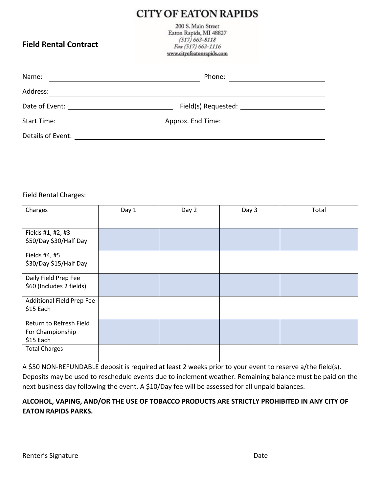## **CITY OF EATON RAPIDS**

**Field Rental Contract**

200 S. Main Street Eaton Rapids, MI 48827  $(517) 663 - 8118$ Fax (517) 663-1116 www.cityofeatonrapids.com

| Name:                                                               | Phone:                                              |  |  |  |
|---------------------------------------------------------------------|-----------------------------------------------------|--|--|--|
| Address:                                                            |                                                     |  |  |  |
|                                                                     |                                                     |  |  |  |
| <b>Start Time:</b><br><u> 1989 - Andrea State Barbara, martin a</u> |                                                     |  |  |  |
| Details of Event:                                                   | <u> 1989 - Andrea Station, amerikansk politik (</u> |  |  |  |
|                                                                     |                                                     |  |  |  |
|                                                                     |                                                     |  |  |  |
|                                                                     |                                                     |  |  |  |

Field Rental Charges:

| Charges                                                  | Day 1 | Day 2 | Day 3 | Total |
|----------------------------------------------------------|-------|-------|-------|-------|
| Fields #1, #2, #3<br>\$50/Day \$30/Half Day              |       |       |       |       |
| Fields #4, #5<br>\$30/Day \$15/Half Day                  |       |       |       |       |
| Daily Field Prep Fee<br>\$60 (Includes 2 fields)         |       |       |       |       |
| Additional Field Prep Fee<br>\$15 Each                   |       |       |       |       |
| Return to Refresh Field<br>For Championship<br>\$15 Each |       |       |       |       |
| <b>Total Charges</b>                                     |       |       |       |       |

A \$50 NON-REFUNDABLE deposit is required at least 2 weeks prior to your event to reserve a/the field(s). Deposits may be used to reschedule events due to inclement weather. Remaining balance must be paid on the next business day following the event. A \$10/Day fee will be assessed for all unpaid balances.

## **ALCOHOL, VAPING, AND/OR THE USE OF TOBACCO PRODUCTS ARE STRICTLY PROHIBITED IN ANY CITY OF EATON RAPIDS PARKS.**